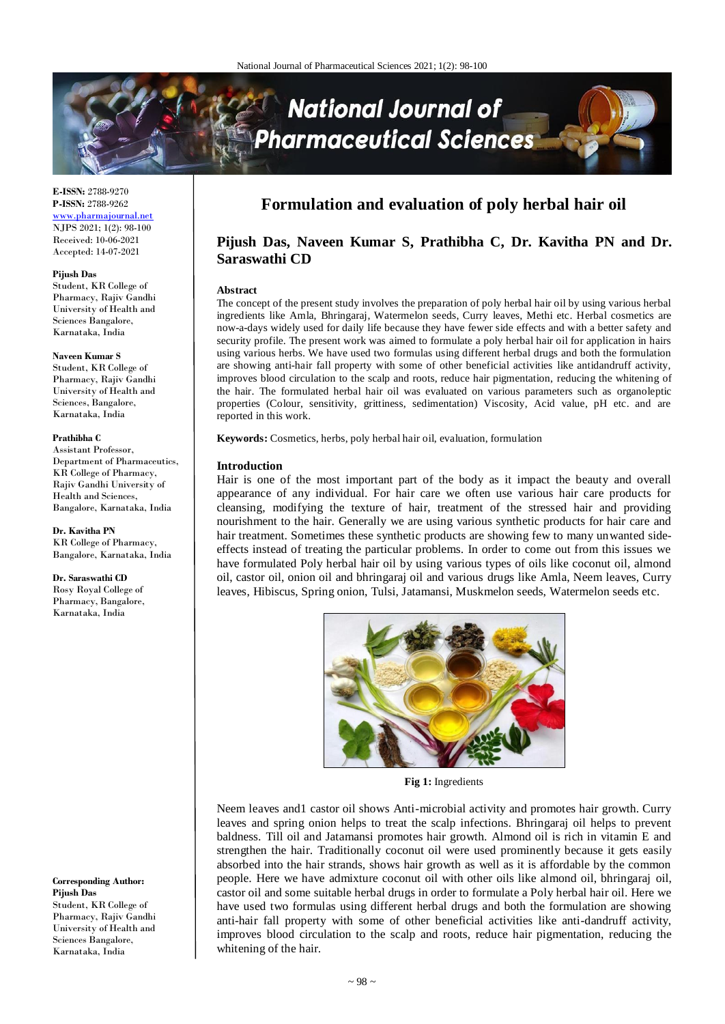# **National Journal of** harmaceutical Sciences

**E-ISSN:** 2788-9270 **P-ISSN:** 2788-9262 [www.pharmajournal.net](http://www.pharmajournal.net/) NJPS 2021; 1(2): 98-100 Received: 10-06-2021 Accepted: 14-07-2021

### **Pijush Das**

Student, KR College of Pharmacy, Rajiv Gandhi University of Health and Sciences Bangalore, Karnataka, India

#### **Naveen Kumar S**

Student, KR College of Pharmacy, Rajiv Gandhi University of Health and Sciences, Bangalore, Karnataka, India

#### **Prathibha C**

Assistant Professor, Department of Pharmaceutics, KR College of Pharmacy, Rajiv Gandhi University of Health and Sciences, Bangalore, Karnataka, India

#### **Dr. Kavitha PN**

KR College of Pharmacy, Bangalore, Karnataka, India

### **Dr. Saraswathi CD**

Rosy Royal College of Pharmacy, Bangalore, Karnataka, India

**Corresponding Author: Pijush Das** Student, KR College of Pharmacy, Rajiv Gandhi University of Health and Sciences Bangalore, Karnataka, India

# **Formulation and evaluation of poly herbal hair oil**

# **Pijush Das, Naveen Kumar S, Prathibha C, Dr. Kavitha PN and Dr. Saraswathi CD**

### **Abstract**

The concept of the present study involves the preparation of poly herbal hair oil by using various herbal ingredients like Amla, Bhringaraj, Watermelon seeds, Curry leaves, Methi etc. Herbal cosmetics are now-a-days widely used for daily life because they have fewer side effects and with a better safety and security profile. The present work was aimed to formulate a poly herbal hair oil for application in hairs using various herbs. We have used two formulas using different herbal drugs and both the formulation are showing anti-hair fall property with some of other beneficial activities like antidandruff activity, improves blood circulation to the scalp and roots, reduce hair pigmentation, reducing the whitening of the hair. The formulated herbal hair oil was evaluated on various parameters such as organoleptic properties (Colour, sensitivity, grittiness, sedimentation) Viscosity, Acid value, pH etc. and are reported in this work.

**Keywords:** Cosmetics, herbs, poly herbal hair oil, evaluation, formulation

#### **Introduction**

Hair is one of the most important part of the body as it impact the beauty and overall appearance of any individual. For hair care we often use various hair care products for cleansing, modifying the texture of hair, treatment of the stressed hair and providing nourishment to the hair. Generally we are using various synthetic products for hair care and hair treatment. Sometimes these synthetic products are showing few to many unwanted sideeffects instead of treating the particular problems. In order to come out from this issues we have formulated Poly herbal hair oil by using various types of oils like coconut oil, almond oil, castor oil, onion oil and bhringaraj oil and various drugs like Amla, Neem leaves, Curry leaves, Hibiscus, Spring onion, Tulsi, Jatamansi, Muskmelon seeds, Watermelon seeds etc.



**Fig 1:** Ingredients

Neem leaves and1 castor oil shows Anti-microbial activity and promotes hair growth. Curry leaves and spring onion helps to treat the scalp infections. Bhringaraj oil helps to prevent baldness. Till oil and Jatamansi promotes hair growth. Almond oil is rich in vitamin E and strengthen the hair. Traditionally coconut oil were used prominently because it gets easily absorbed into the hair strands, shows hair growth as well as it is affordable by the common people. Here we have admixture coconut oil with other oils like almond oil, bhringaraj oil, castor oil and some suitable herbal drugs in order to formulate a Poly herbal hair oil. Here we have used two formulas using different herbal drugs and both the formulation are showing anti-hair fall property with some of other beneficial activities like anti-dandruff activity, improves blood circulation to the scalp and roots, reduce hair pigmentation, reducing the whitening of the hair.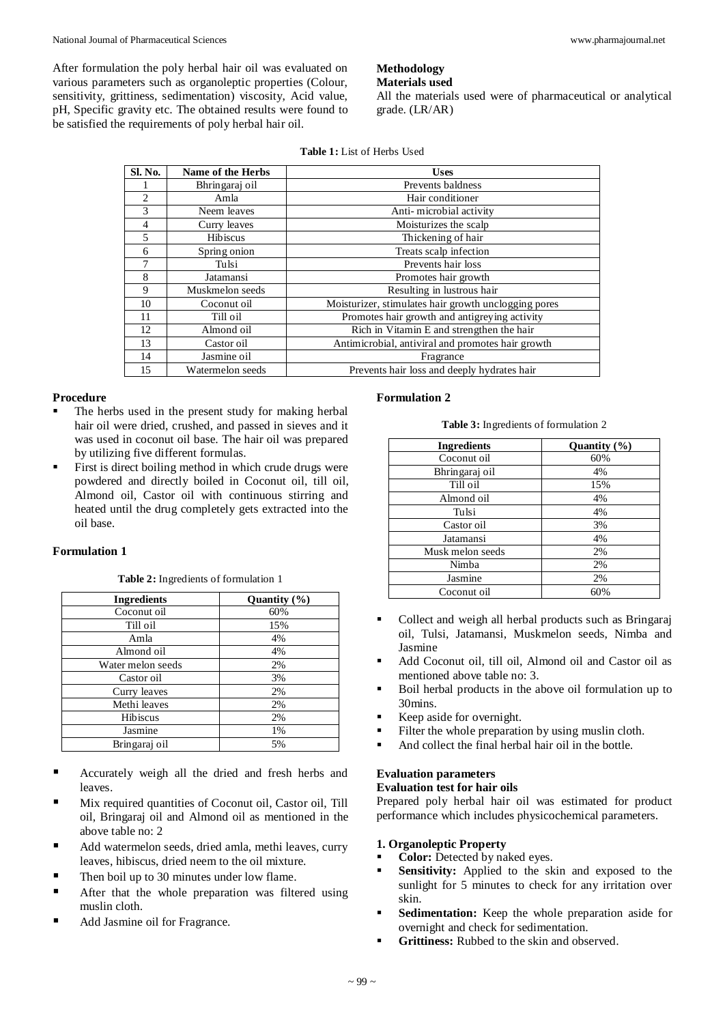After formulation the poly herbal hair oil was evaluated on various parameters such as organoleptic properties (Colour, sensitivity, grittiness, sedimentation) viscosity, Acid value, pH, Specific gravity etc. The obtained results were found to be satisfied the requirements of poly herbal hair oil.

# **Methodology**

**Materials used**

All the materials used were of pharmaceutical or analytical grade. (LR/AR)

| Sl. No.        | Name of the Herbs | <b>Uses</b>                                          |  |
|----------------|-------------------|------------------------------------------------------|--|
|                | Bhringaraj oil    | Prevents baldness                                    |  |
| $\overline{c}$ | Amla              | Hair conditioner                                     |  |
| 3              | Neem leaves       | Anti-microbial activity                              |  |
| $\overline{4}$ | Curry leaves      | Moisturizes the scalp                                |  |
| 5              | <b>Hibiscus</b>   | Thickening of hair                                   |  |
| 6              | Spring onion      | Treats scalp infection                               |  |
| 7              | Tulsi             | Prevents hair loss                                   |  |
| 8              | Jatamansi         | Promotes hair growth                                 |  |
| 9              | Muskmelon seeds   | Resulting in lustrous hair                           |  |
| 10             | Coconut oil       | Moisturizer, stimulates hair growth unclogging pores |  |
| 11             | Till oil          | Promotes hair growth and antigreying activity        |  |
| 12             | Almond oil        | Rich in Vitamin E and strengthen the hair            |  |
| 13             | Castor oil        | Antimicrobial, antiviral and promotes hair growth    |  |
| 14             | Jasmine oil       | Fragrance                                            |  |
| 15             | Watermelon seeds  | Prevents hair loss and deeply hydrates hair          |  |

## **Procedure**

- The herbs used in the present study for making herbal hair oil were dried, crushed, and passed in sieves and it was used in coconut oil base. The hair oil was prepared by utilizing five different formulas.
- First is direct boiling method in which crude drugs were powdered and directly boiled in Coconut oil, till oil, Almond oil, Castor oil with continuous stirring and heated until the drug completely gets extracted into the oil base.

# **Formulation 1**

**Table 2:** Ingredients of formulation 1

| <b>Ingredients</b> | Quantity $(\% )$ |
|--------------------|------------------|
| Coconut oil        | 60%              |
| Till oil           | 15%              |
| Amla               | 4%               |
| Almond oil         | 4%               |
| Water melon seeds  | 2%               |
| Castor oil         | 3%               |
| Curry leaves       | 2%               |
| Methi leaves       | 2%               |
| <b>Hibiscus</b>    | 2%               |
| Jasmine            | 1%               |
| Bringaraj oil      | 5%               |

- Accurately weigh all the dried and fresh herbs and leaves.
- Mix required quantities of Coconut oil, Castor oil, Till oil, Bringaraj oil and Almond oil as mentioned in the above table no: 2
- Add watermelon seeds, dried amla, methi leaves, curry leaves, hibiscus, dried neem to the oil mixture.
- Then boil up to 30 minutes under low flame.
- After that the whole preparation was filtered using muslin cloth.
- Add Jasmine oil for Fragrance.

# **Formulation 2**

**Table 3:** Ingredients of formulation 2

| <b>Ingredients</b> | Quantity $(\% )$ |
|--------------------|------------------|
| Coconut oil        | 60%              |
| Bhringaraj oil     | 4%               |
| Till oil           | 15%              |
| Almond oil         | 4%               |
| Tulsi              | 4%               |
| Castor oil         | 3%               |
| Jatamansi          | 4%               |
| Musk melon seeds   | 2%               |
| Nimba              | 2%               |
| Jasmine            | 2%               |
| Coconut oil        | 60%              |

- Collect and weigh all herbal products such as Bringaraj oil, Tulsi, Jatamansi, Muskmelon seeds, Nimba and Jasmine
- Add Coconut oil, till oil, Almond oil and Castor oil as mentioned above table no: 3.
- Boil herbal products in the above oil formulation up to 30mins.
- Keep aside for overnight.
- Filter the whole preparation by using muslin cloth.
- And collect the final herbal hair oil in the bottle.

# **Evaluation parameters**

**Evaluation test for hair oils** Prepared poly herbal hair oil was estimated for product performance which includes physicochemical parameters.

# **1. Organoleptic Property**

- **Color:** Detected by naked eyes.
- **Sensitivity:** Applied to the skin and exposed to the sunlight for 5 minutes to check for any irritation over skin.
- **Sedimentation:** Keep the whole preparation aside for overnight and check for sedimentation.
- **Grittiness:** Rubbed to the skin and observed.